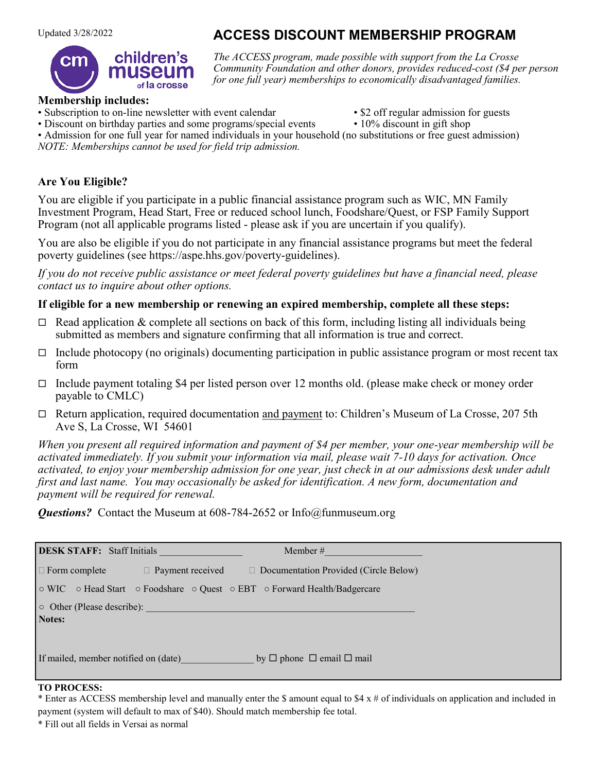# children's of la crosse

**ACCESS DISCOUNT MEMBERSHIP PROGRAM** 

*The ACCESS program, made possible with support from the La Crosse Community Foundation and other donors, provides reduced-cost (\$4 per person for one full year) memberships to economically disadvantaged families.*

## **Membership includes:**

- Subscription to on-line newsletter with event calendar \$2 off regular admission for guests
	-
- Discount on birthday parties and some programs/special events 10% discount in gift shop

• Admission for one full year for named individuals in your household (no substitutions or free guest admission) *NOTE: Memberships cannot be used for field trip admission.* 

## **Are You Eligible?**

You are eligible if you participate in a public financial assistance program such as WIC, MN Family Investment Program, Head Start, Free or reduced school lunch, Foodshare/Quest, or FSP Family Support Program (not all applicable programs listed - please ask if you are uncertain if you qualify).

You are also be eligible if you do not participate in any financial assistance programs but meet the federal poverty guidelines (see https://aspe.hhs.gov/poverty-guidelines).

*If you do not receive public assistance or meet federal poverty guidelines but have a financial need, please contact us to inquire about other options.*

#### **If eligible for a new membership or renewing an expired membership, complete all these steps:**

- $\Box$  Read application & complete all sections on back of this form, including listing all individuals being submitted as members and signature confirming that all information is true and correct.
- $\Box$  Include photocopy (no originals) documenting participation in public assistance program or most recent tax form
- $\Box$  Include payment totaling \$4 per listed person over 12 months old. (please make check or money order payable to CMLC)
- $\Box$  Return application, required documentation and payment to: Children's Museum of La Crosse, 207 5th Ave S, La Crosse, WI 54601

*When you present all required information and payment of \$4 per member, your one-year membership will be activated immediately. If you submit your information via mail, please wait 7-10 days for activation. Once activated, to enjoy your membership admission for one year, just check in at our admissions desk under adult first and last name. You may occasionally be asked for identification. A new form, documentation and payment will be required for renewal.*

*Questions?* Contact the Museum at 608-784-2652 or Info@funmuseum.org

| DESK STAFF: Staff Initials           | Member #                                                                                                                                                                                                                       |
|--------------------------------------|--------------------------------------------------------------------------------------------------------------------------------------------------------------------------------------------------------------------------------|
|                                      | $\Box$ Form complete $\Box$ Payment received $\Box$ Documentation Provided (Circle Below)                                                                                                                                      |
|                                      | ⊙ WIC © Head Start © Foodshare © Quest © EBT © Forward Health/Badgercare                                                                                                                                                       |
|                                      | o Other (Please describe): La Contract Contract Contract Contract Contract Contract Contract Contract Contract Contract Contract Contract Contract Contract Contract Contract Contract Contract Contract Contract Contract Con |
| Notes:                               |                                                                                                                                                                                                                                |
| If mailed, member notified on (date) | by $\Box$ phone $\Box$ email $\Box$ mail                                                                                                                                                                                       |

#### **TO PROCESS:**

\* Enter as ACCESS membership level and manually enter the \$ amount equal to \$4 x # of individuals on application and included in payment (system will default to max of \$40). Should match membership fee total.

\* Fill out all fields in Versai as normal